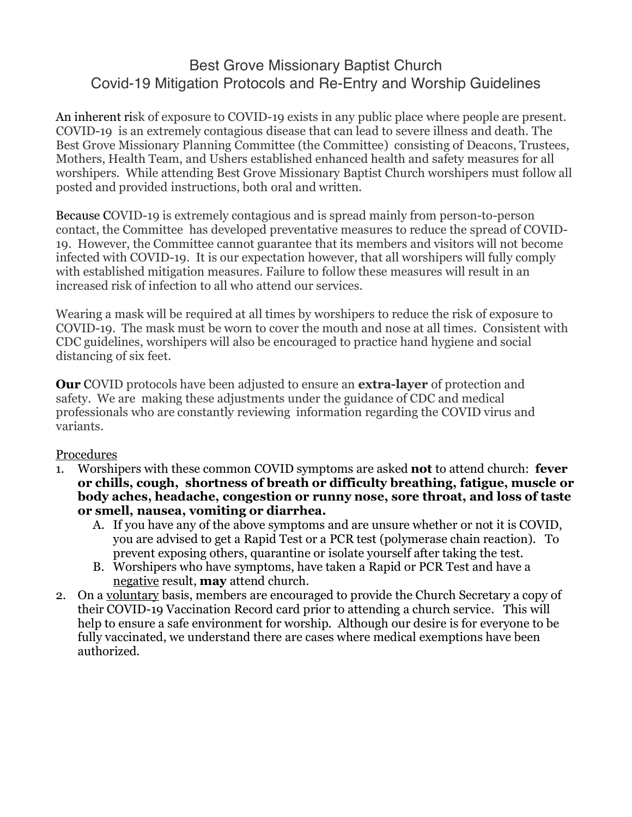## Best Grove Missionary Baptist Church Covid-19 Mitigation Protocols and Re-Entry and Worship Guidelines

An inherent risk of exposure to COVID-19 exists in any public place where people are present. COVID-19 is an extremely contagious disease that can lead to severe illness and death. The Best Grove Missionary Planning Committee (the Committee) consisting of Deacons, Trustees, Mothers, Health Team, and Ushers established enhanced health and safety measures for all worshipers. While attending Best Grove Missionary Baptist Church worshipers must follow all posted and provided instructions, both oral and written.

Because COVID-19 is extremely contagious and is spread mainly from person-to-person contact, the Committee has developed preventative measures to reduce the spread of COVID-19. However, the Committee cannot guarantee that its members and visitors will not become infected with COVID-19. It is our expectation however, that all worshipers will fully comply with established mitigation measures. Failure to follow these measures will result in an increased risk of infection to all who attend our services.

Wearing a mask will be required at all times by worshipers to reduce the risk of exposure to COVID-19. The mask must be worn to cover the mouth and nose at all times. Consistent with CDC guidelines, worshipers will also be encouraged to practice hand hygiene and social distancing of six feet.

**Our** COVID protocols have been adjusted to ensure an **extra-layer** of protection and safety. We are making these adjustments under the guidance of CDC and medical professionals who are constantly reviewing information regarding the COVID virus and variants.

## Procedures

- 1. Worshipers with these common COVID symptoms are asked **not** to attend church: **fever or chills, cough, shortness of breath or difficulty breathing, fatigue, muscle or body aches, headache, congestion or runny nose, sore throat, and loss of taste or smell, nausea, vomiting or diarrhea.**
	- A. If you have any of the above symptoms and are unsure whether or not it is COVID, you are advised to get a Rapid Test or a PCR test (polymerase chain reaction). To prevent exposing others, quarantine or isolate yourself after taking the test.
	- B. Worshipers who have symptoms, have taken a Rapid or PCR Test and have a negative result, **may** attend church.
- 2. On a voluntary basis, members are encouraged to provide the Church Secretary a copy of their COVID-19 Vaccination Record card prior to attending a church service. This will help to ensure a safe environment for worship. Although our desire is for everyone to be fully vaccinated, we understand there are cases where medical exemptions have been authorized.